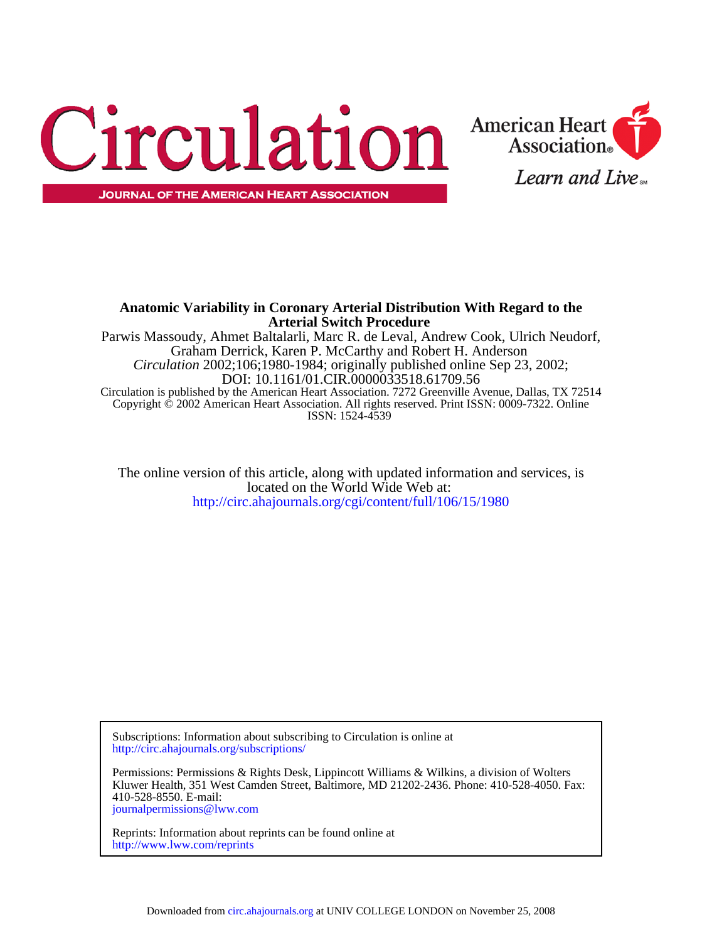



# **Arterial Switch Procedure Anatomic Variability in Coronary Arterial Distribution With Regard to the**

ISSN: 1524-4539 Copyright © 2002 American Heart Association. All rights reserved. Print ISSN: 0009-7322. Online Circulation is published by the American Heart Association. 7272 Greenville Avenue, Dallas, TX 72514 DOI: 10.1161/01.CIR.0000033518.61709.56 *Circulation* 2002;106;1980-1984; originally published online Sep 23, 2002; Graham Derrick, Karen P. McCarthy and Robert H. Anderson Parwis Massoudy, Ahmet Baltalarli, Marc R. de Leval, Andrew Cook, Ulrich Neudorf,

<http://circ.ahajournals.org/cgi/content/full/106/15/1980> located on the World Wide Web at: The online version of this article, along with updated information and services, is

<http://circ.ahajournals.org/subscriptions/> Subscriptions: Information about subscribing to Circulation is online at

[journalpermissions@lww.com](mailto:journalpermissions@lww.com) 410-528-8550. E-mail: Kluwer Health, 351 West Camden Street, Baltimore, MD 21202-2436. Phone: 410-528-4050. Fax: Permissions: Permissions & Rights Desk, Lippincott Williams & Wilkins, a division of Wolters

<http://www.lww.com/reprints> Reprints: Information about reprints can be found online at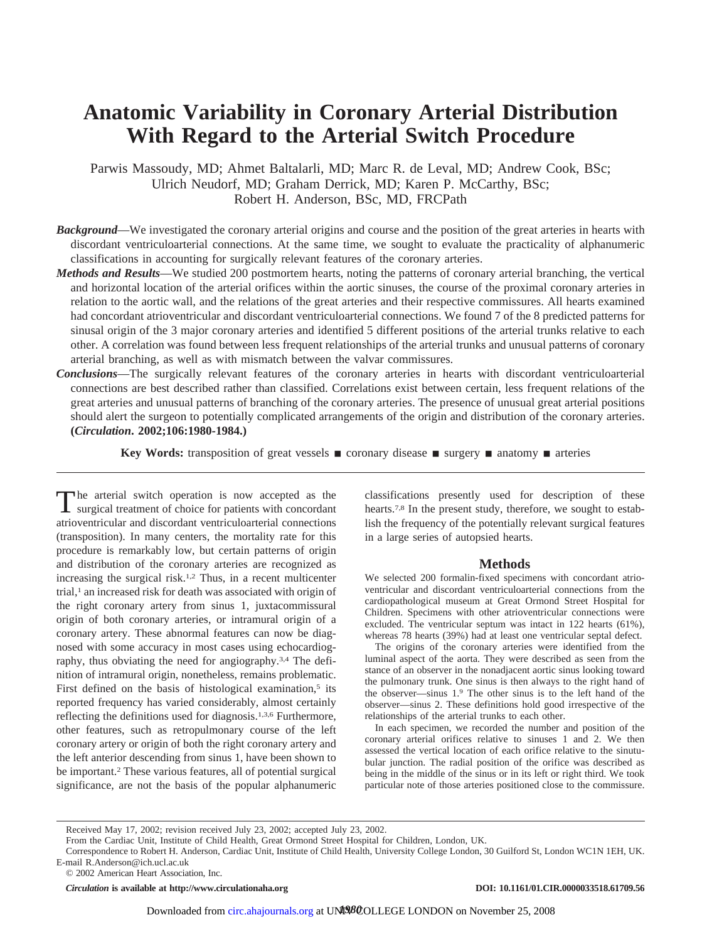# **Anatomic Variability in Coronary Arterial Distribution With Regard to the Arterial Switch Procedure**

Parwis Massoudy, MD; Ahmet Baltalarli, MD; Marc R. de Leval, MD; Andrew Cook, BSc; Ulrich Neudorf, MD; Graham Derrick, MD; Karen P. McCarthy, BSc; Robert H. Anderson, BSc, MD, FRCPath

- *Background*—We investigated the coronary arterial origins and course and the position of the great arteries in hearts with discordant ventriculoarterial connections. At the same time, we sought to evaluate the practicality of alphanumeric classifications in accounting for surgically relevant features of the coronary arteries.
- *Methods and Results*—We studied 200 postmortem hearts, noting the patterns of coronary arterial branching, the vertical and horizontal location of the arterial orifices within the aortic sinuses, the course of the proximal coronary arteries in relation to the aortic wall, and the relations of the great arteries and their respective commissures. All hearts examined had concordant atrioventricular and discordant ventriculoarterial connections. We found 7 of the 8 predicted patterns for sinusal origin of the 3 major coronary arteries and identified 5 different positions of the arterial trunks relative to each other. A correlation was found between less frequent relationships of the arterial trunks and unusual patterns of coronary arterial branching, as well as with mismatch between the valvar commissures.
- *Conclusions*—The surgically relevant features of the coronary arteries in hearts with discordant ventriculoarterial connections are best described rather than classified. Correlations exist between certain, less frequent relations of the great arteries and unusual patterns of branching of the coronary arteries. The presence of unusual great arterial positions should alert the surgeon to potentially complicated arrangements of the origin and distribution of the coronary arteries. **(***Circulation***. 2002;106:1980-1984.)**

**Key Words:** transposition of great vessels  $\blacksquare$  coronary disease  $\blacksquare$  surgery  $\blacksquare$  anatomy  $\blacksquare$  arteries

The arterial switch operation is now accepted as the surgical treatment of choice for patients with concordant atrioventricular and discordant ventriculoarterial connections (transposition). In many centers, the mortality rate for this procedure is remarkably low, but certain patterns of origin and distribution of the coronary arteries are recognized as increasing the surgical risk.1,2 Thus, in a recent multicenter trial,<sup>1</sup> an increased risk for death was associated with origin of the right coronary artery from sinus 1, juxtacommissural origin of both coronary arteries, or intramural origin of a coronary artery. These abnormal features can now be diagnosed with some accuracy in most cases using echocardiography, thus obviating the need for angiography.3,4 The definition of intramural origin, nonetheless, remains problematic. First defined on the basis of histological examination,<sup>5</sup> its reported frequency has varied considerably, almost certainly reflecting the definitions used for diagnosis.1,3,6 Furthermore, other features, such as retropulmonary course of the left coronary artery or origin of both the right coronary artery and the left anterior descending from sinus 1, have been shown to be important.2 These various features, all of potential surgical significance, are not the basis of the popular alphanumeric

classifications presently used for description of these hearts.7,8 In the present study, therefore, we sought to establish the frequency of the potentially relevant surgical features in a large series of autopsied hearts.

# **Methods**

We selected 200 formalin-fixed specimens with concordant atrioventricular and discordant ventriculoarterial connections from the cardiopathological museum at Great Ormond Street Hospital for Children. Specimens with other atrioventricular connections were excluded. The ventricular septum was intact in 122 hearts (61%), whereas 78 hearts (39%) had at least one ventricular septal defect.

The origins of the coronary arteries were identified from the luminal aspect of the aorta. They were described as seen from the stance of an observer in the nonadjacent aortic sinus looking toward the pulmonary trunk. One sinus is then always to the right hand of the observer—sinus 1.9 The other sinus is to the left hand of the observer—sinus 2. These definitions hold good irrespective of the relationships of the arterial trunks to each other.

In each specimen, we recorded the number and position of the coronary arterial orifices relative to sinuses 1 and 2. We then assessed the vertical location of each orifice relative to the sinutubular junction. The radial position of the orifice was described as being in the middle of the sinus or in its left or right third. We took particular note of those arteries positioned close to the commissure.

*Circulation* is available at http://www.circulationaha.org DOI: 10.1161/01.CIR.0000033518.61709.56

Received May 17, 2002; revision received July 23, 2002; accepted July 23, 2002.

From the Cardiac Unit, Institute of Child Health, Great Ormond Street Hospital for Children, London, UK.

Correspondence to Robert H. Anderson, Cardiac Unit, Institute of Child Health, University College London, 30 Guilford St, London WC1N 1EH, UK. E-mail R.Anderson@ich.ucl.ac.uk

<sup>© 2002</sup> American Heart Association, Inc.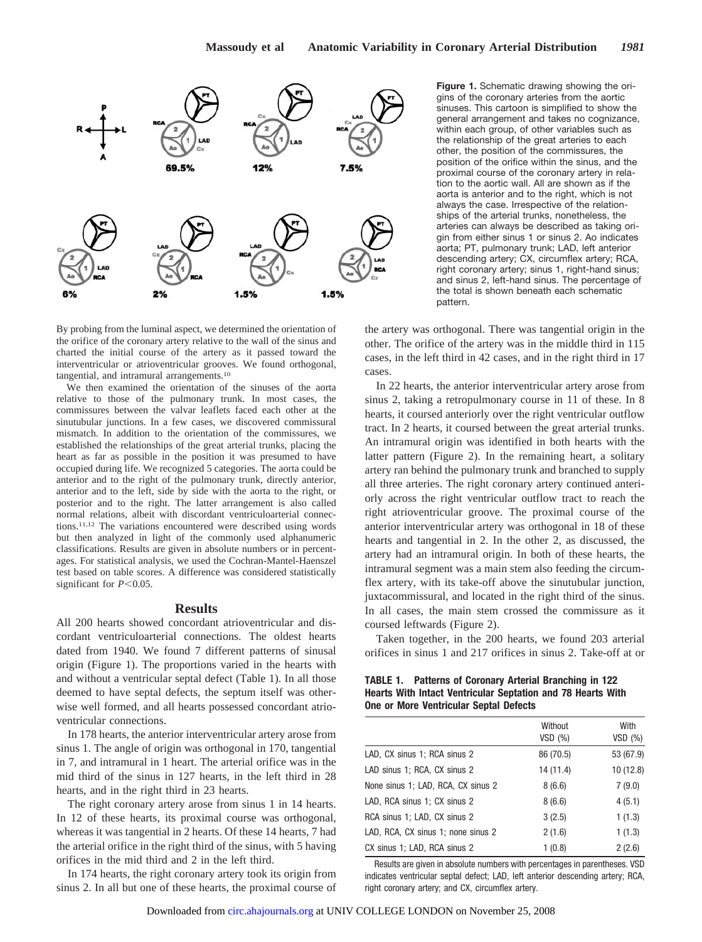

By probing from the luminal aspect, we determined the orientation of the orifice of the coronary artery relative to the wall of the sinus and charted the initial course of the artery as it passed toward the interventricular or atrioventricular grooves. We found orthogonal, tangential, and intramural arrangements.10

We then examined the orientation of the sinuses of the aorta relative to those of the pulmonary trunk. In most cases, the commissures between the valvar leaflets faced each other at the sinutubular junctions. In a few cases, we discovered commissural mismatch. In addition to the orientation of the commissures, we established the relationships of the great arterial trunks, placing the heart as far as possible in the position it was presumed to have occupied during life. We recognized 5 categories. The aorta could be anterior and to the right of the pulmonary trunk, directly anterior, anterior and to the left, side by side with the aorta to the right, or posterior and to the right. The latter arrangement is also called normal relations, albeit with discordant ventriculoarterial connections.11,12 The variations encountered were described using words but then analyzed in light of the commonly used alphanumeric classifications. Results are given in absolute numbers or in percentages. For statistical analysis, we used the Cochran-Mantel-Haenszel test based on table scores. A difference was considered statistically significant for  $P<0.05$ .

## **Results**

All 200 hearts showed concordant atrioventricular and discordant ventriculoarterial connections. The oldest hearts dated from 1940. We found 7 different patterns of sinusal origin (Figure 1). The proportions varied in the hearts with and without a ventricular septal defect (Table 1). In all those deemed to have septal defects, the septum itself was otherwise well formed, and all hearts possessed concordant atrioventricular connections.

In 178 hearts, the anterior interventricular artery arose from sinus 1. The angle of origin was orthogonal in 170, tangential in 7, and intramural in 1 heart. The arterial orifice was in the mid third of the sinus in 127 hearts, in the left third in 28 hearts, and in the right third in 23 hearts.

The right coronary artery arose from sinus 1 in 14 hearts. In 12 of these hearts, its proximal course was orthogonal, whereas it was tangential in 2 hearts. Of these 14 hearts, 7 had the arterial orifice in the right third of the sinus, with 5 having orifices in the mid third and 2 in the left third.

In 174 hearts, the right coronary artery took its origin from sinus 2. In all but one of these hearts, the proximal course of

**Figure 1.** Schematic drawing showing the origins of the coronary arteries from the aortic sinuses. This cartoon is simplified to show the general arrangement and takes no cognizance, within each group, of other variables such as the relationship of the great arteries to each other, the position of the commissures, the position of the orifice within the sinus, and the proximal course of the coronary artery in relation to the aortic wall. All are shown as if the aorta is anterior and to the right, which is not always the case. Irrespective of the relationships of the arterial trunks, nonetheless, the arteries can always be described as taking origin from either sinus 1 or sinus 2. Ao indicates aorta; PT, pulmonary trunk; LAD, left anterior descending artery; CX, circumflex artery; RCA, right coronary artery; sinus 1, right-hand sinus; and sinus 2, left-hand sinus. The percentage of the total is shown beneath each schematic pattern.

the artery was orthogonal. There was tangential origin in the other. The orifice of the artery was in the middle third in 115 cases, in the left third in 42 cases, and in the right third in 17 cases.

In 22 hearts, the anterior interventricular artery arose from sinus 2, taking a retropulmonary course in 11 of these. In 8 hearts, it coursed anteriorly over the right ventricular outflow tract. In 2 hearts, it coursed between the great arterial trunks. An intramural origin was identified in both hearts with the latter pattern (Figure 2). In the remaining heart, a solitary artery ran behind the pulmonary trunk and branched to supply all three arteries. The right coronary artery continued anteriorly across the right ventricular outflow tract to reach the right atrioventricular groove. The proximal course of the anterior interventricular artery was orthogonal in 18 of these hearts and tangential in 2. In the other 2, as discussed, the artery had an intramural origin. In both of these hearts, the intramural segment was a main stem also feeding the circumflex artery, with its take-off above the sinutubular junction, juxtacommissural, and located in the right third of the sinus. In all cases, the main stem crossed the commissure as it coursed leftwards (Figure 2).

Taken together, in the 200 hearts, we found 203 arterial orifices in sinus 1 and 217 orifices in sinus 2. Take-off at or

**TABLE 1. Patterns of Coronary Arterial Branching in 122 Hearts With Intact Ventricular Septation and 78 Hearts With One or More Ventricular Septal Defects**

|                                    | Without<br>VSD(%) | With<br>$VSD$ $(\%)$ |
|------------------------------------|-------------------|----------------------|
| LAD, CX sinus 1; RCA sinus 2       | 86 (70.5)         | 53 (67.9)            |
| LAD sinus 1; RCA, CX sinus 2       | 14 (11.4)         | 10 (12.8)            |
| None sinus 1; LAD, RCA, CX sinus 2 | 8(6.6)            | 7(9.0)               |
| LAD, RCA sinus 1; CX sinus 2       | 8(6.6)            | 4(5.1)               |
| RCA sinus 1; LAD, CX sinus 2       | 3(2.5)            | 1(1.3)               |
| LAD, RCA, CX sinus 1; none sinus 2 | 2(1.6)            | 1(1.3)               |
| CX sinus 1; LAD, RCA sinus 2       | 1(0.8)            | 2(2.6)               |

Results are given in absolute numbers with percentages in parentheses. VSD indicates ventricular septal defect; LAD, left anterior descending artery; RCA, right coronary artery; and CX, circumflex artery.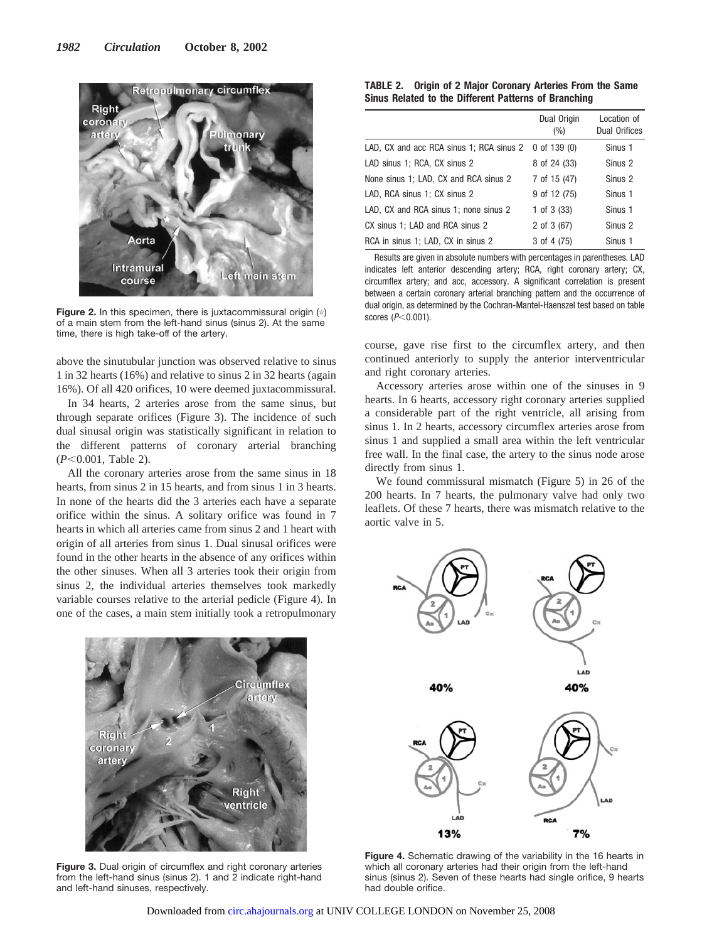

**Figure 2.** In this specimen, there is juxtacommissural origin (\*) of a main stem from the left-hand sinus (sinus 2). At the same time, there is high take-off of the artery.

above the sinutubular junction was observed relative to sinus 1 in 32 hearts (16%) and relative to sinus 2 in 32 hearts (again 16%). Of all 420 orifices, 10 were deemed juxtacommissural.

In 34 hearts, 2 arteries arose from the same sinus, but through separate orifices (Figure 3). The incidence of such dual sinusal origin was statistically significant in relation to the different patterns of coronary arterial branching ( $P<0.001$ , Table 2).

All the coronary arteries arose from the same sinus in 18 hearts, from sinus 2 in 15 hearts, and from sinus 1 in 3 hearts. In none of the hearts did the 3 arteries each have a separate orifice within the sinus. A solitary orifice was found in 7 hearts in which all arteries came from sinus 2 and 1 heart with origin of all arteries from sinus 1. Dual sinusal orifices were found in the other hearts in the absence of any orifices within the other sinuses. When all 3 arteries took their origin from sinus 2, the individual arteries themselves took markedly variable courses relative to the arterial pedicle (Figure 4). In one of the cases, a main stem initially took a retropulmonary



**Figure 3.** Dual origin of circumflex and right coronary arteries from the left-hand sinus (sinus 2). 1 and 2 indicate right-hand and left-hand sinuses, respectively.

| <b>TABLE 2. Origin of 2 Major Coronary Arteries From the Same</b> |  |
|-------------------------------------------------------------------|--|
| Sinus Related to the Different Patterns of Branching              |  |

|                                          | Dual Origin<br>$(\% )$ | Location of<br><b>Dual Orifices</b> |
|------------------------------------------|------------------------|-------------------------------------|
| LAD, CX and acc RCA sinus 1; RCA sinus 2 | $0$ of 139 $(0)$       | Sinus 1                             |
| LAD sinus 1; RCA, CX sinus 2             | 8 of 24 (33)           | Sinus <sub>2</sub>                  |
| None sinus 1; LAD, CX and RCA sinus 2    | 7 of 15 (47)           | Sinus <sub>2</sub>                  |
| LAD, RCA sinus 1; CX sinus 2             | 9 of 12 (75)           | Sinus 1                             |
| LAD, CX and RCA sinus 1; none sinus 2    | 1 of $3(33)$           | Sinus 1                             |
| CX sinus 1; LAD and RCA sinus 2          | 2 of $3(67)$           | Sinus <sub>2</sub>                  |
| RCA in sinus 1; LAD, CX in sinus 2       | $3$ of 4 (75)          | Sinus 1                             |

Results are given in absolute numbers with percentages in parentheses. LAD indicates left anterior descending artery; RCA, right coronary artery; CX, circumflex artery; and acc, accessory. A significant correlation is present between a certain coronary arterial branching pattern and the occurrence of dual origin, as determined by the Cochran-Mantel-Haenszel test based on table scores ( $P<0.001$ ).

course, gave rise first to the circumflex artery, and then continued anteriorly to supply the anterior interventricular and right coronary arteries.

Accessory arteries arose within one of the sinuses in 9 hearts. In 6 hearts, accessory right coronary arteries supplied a considerable part of the right ventricle, all arising from sinus 1. In 2 hearts, accessory circumflex arteries arose from sinus 1 and supplied a small area within the left ventricular free wall. In the final case, the artery to the sinus node arose directly from sinus 1.

We found commissural mismatch (Figure 5) in 26 of the 200 hearts. In 7 hearts, the pulmonary valve had only two leaflets. Of these 7 hearts, there was mismatch relative to the aortic valve in 5.



**Figure 4.** Schematic drawing of the variability in the 16 hearts in which all coronary arteries had their origin from the left-hand sinus (sinus 2). Seven of these hearts had single orifice, 9 hearts had double orifice.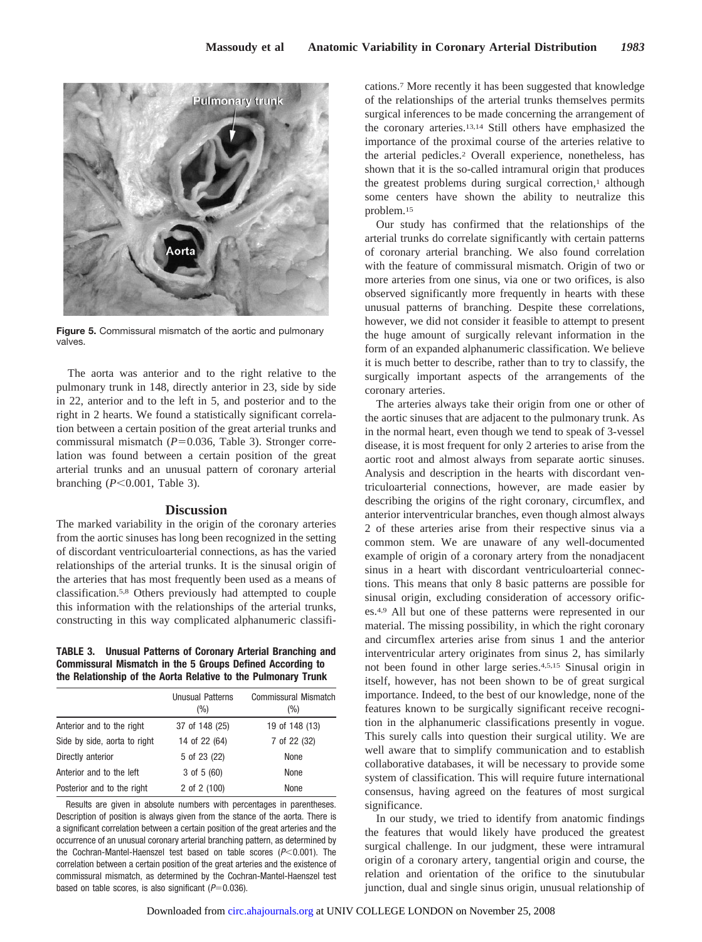

**Figure 5.** Commissural mismatch of the aortic and pulmonary valves.

The aorta was anterior and to the right relative to the pulmonary trunk in 148, directly anterior in 23, side by side in 22, anterior and to the left in 5, and posterior and to the right in 2 hearts. We found a statistically significant correlation between a certain position of the great arterial trunks and commissural mismatch (P=0.036, Table 3). Stronger correlation was found between a certain position of the great arterial trunks and an unusual pattern of coronary arterial branching  $(P<0.001$ , Table 3).

# **Discussion**

The marked variability in the origin of the coronary arteries from the aortic sinuses has long been recognized in the setting of discordant ventriculoarterial connections, as has the varied relationships of the arterial trunks. It is the sinusal origin of the arteries that has most frequently been used as a means of classification.5,8 Others previously had attempted to couple this information with the relationships of the arterial trunks, constructing in this way complicated alphanumeric classifi-

### **TABLE 3. Unusual Patterns of Coronary Arterial Branching and Commissural Mismatch in the 5 Groups Defined According to the Relationship of the Aorta Relative to the Pulmonary Trunk**

|                              | <b>Unusual Patterns</b><br>$(\%)$ | <b>Commissural Mismatch</b><br>(%) |
|------------------------------|-----------------------------------|------------------------------------|
| Anterior and to the right    | 37 of 148 (25)                    | 19 of 148 (13)                     |
| Side by side, aorta to right | 14 of 22 (64)                     | 7 of 22 (32)                       |
| Directly anterior            | 5 of 23 (22)                      | None                               |
| Anterior and to the left     | 3 of 5 (60)                       | None                               |
| Posterior and to the right   | 2 of 2 (100)                      | None                               |
|                              |                                   |                                    |

Results are given in absolute numbers with percentages in parentheses. Description of position is always given from the stance of the aorta. There is a significant correlation between a certain position of the great arteries and the occurrence of an unusual coronary arterial branching pattern, as determined by the Cochran-Mantel-Haenszel test based on table scores  $(P<0.001)$ . The correlation between a certain position of the great arteries and the existence of commissural mismatch, as determined by the Cochran-Mantel-Haenszel test based on table scores, is also significant  $(P=0.036)$ .

cations.7 More recently it has been suggested that knowledge of the relationships of the arterial trunks themselves permits surgical inferences to be made concerning the arrangement of the coronary arteries.13,14 Still others have emphasized the importance of the proximal course of the arteries relative to the arterial pedicles.2 Overall experience, nonetheless, has shown that it is the so-called intramural origin that produces the greatest problems during surgical correction, $<sup>1</sup>$  although</sup> some centers have shown the ability to neutralize this problem.15

Our study has confirmed that the relationships of the arterial trunks do correlate significantly with certain patterns of coronary arterial branching. We also found correlation with the feature of commissural mismatch. Origin of two or more arteries from one sinus, via one or two orifices, is also observed significantly more frequently in hearts with these unusual patterns of branching. Despite these correlations, however, we did not consider it feasible to attempt to present the huge amount of surgically relevant information in the form of an expanded alphanumeric classification. We believe it is much better to describe, rather than to try to classify, the surgically important aspects of the arrangements of the coronary arteries.

The arteries always take their origin from one or other of the aortic sinuses that are adjacent to the pulmonary trunk. As in the normal heart, even though we tend to speak of 3-vessel disease, it is most frequent for only 2 arteries to arise from the aortic root and almost always from separate aortic sinuses. Analysis and description in the hearts with discordant ventriculoarterial connections, however, are made easier by describing the origins of the right coronary, circumflex, and anterior interventricular branches, even though almost always 2 of these arteries arise from their respective sinus via a common stem. We are unaware of any well-documented example of origin of a coronary artery from the nonadjacent sinus in a heart with discordant ventriculoarterial connections. This means that only 8 basic patterns are possible for sinusal origin, excluding consideration of accessory orifices.4,9 All but one of these patterns were represented in our material. The missing possibility, in which the right coronary and circumflex arteries arise from sinus 1 and the anterior interventricular artery originates from sinus 2, has similarly not been found in other large series.4,5,15 Sinusal origin in itself, however, has not been shown to be of great surgical importance. Indeed, to the best of our knowledge, none of the features known to be surgically significant receive recognition in the alphanumeric classifications presently in vogue. This surely calls into question their surgical utility. We are well aware that to simplify communication and to establish collaborative databases, it will be necessary to provide some system of classification. This will require future international consensus, having agreed on the features of most surgical significance.

In our study, we tried to identify from anatomic findings the features that would likely have produced the greatest surgical challenge. In our judgment, these were intramural origin of a coronary artery, tangential origin and course, the relation and orientation of the orifice to the sinutubular junction, dual and single sinus origin, unusual relationship of